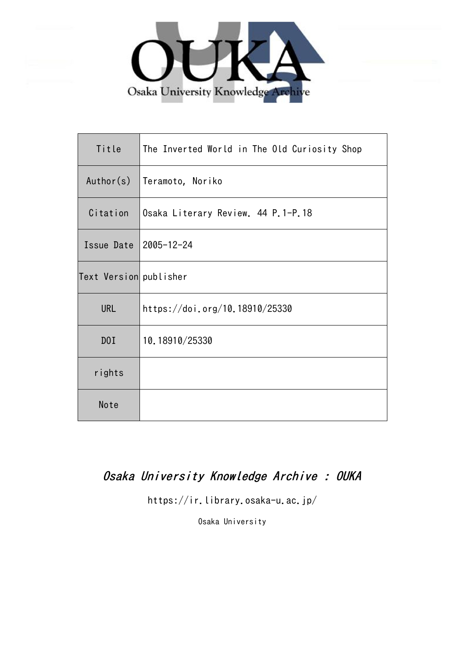

| Title                  | The Inverted World in The Old Curiosity Shop |
|------------------------|----------------------------------------------|
| Author(s)              | Teramoto, Noriko                             |
| Citation               | Osaka Literary Review. 44 P.1-P.18           |
| Issue Date             | 2005-12-24                                   |
| Text Version publisher |                                              |
| <b>URL</b>             | https://doi.org/10.18910/25330               |
| D0I                    | 10.18910/25330                               |
| rights                 |                                              |
| Note                   |                                              |

# Osaka University Knowledge Archive : OUKA

https://ir.library.osaka-u.ac.jp/

Osaka University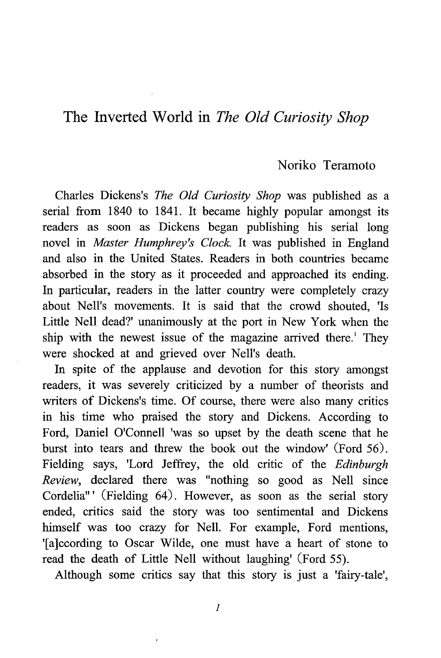## The Inverted World in The Old Curiosity Shop

## Noriko Teramoto

Charles Dickens's The Old Curiosity Shop was published as a serial from 1840 to 1841. It became highly popular amongst its readers as soon as Dickens began publishing his serial long novel in Master Humphrey's Clock. It was published in England and also in the United States. Readers in both countries became absorbed in the story as it proceeded and approached its ending. In particular, readers in the latter country were completely crazy about Nell's movements. It is said that the crowd shouted, 'Is Little Nell dead?' unanimously at the port in New York when the ship with the newest issue of the magazine arrived there.' They were shocked at and grieved over Nell's death.

In spite of the applause and devotion for this story amongst readers, it was severely criticized by a number of theorists and writers of Dickens's time. Of course, there were also many critics in his time who praised the story and Dickens. According to Ford, Daniel O'Connell 'was so upset by the death scene that he burst into tears and threw the book out the window' (Ford 56). Fielding says, 'Lord Jeffrey, the old critic of the Edinburgh Review, declared there was "nothing so good as Nell since Cordelia"<sup>'</sup> (Fielding 64). However, as soon as the serial story ended, critics said the story was too sentimental and Dickens himself was too crazy for Nell. For example, Ford mentions, Talccording to Oscar Wilde, one must have a heart of stone to read the death of Little Nell without laughing' (Ford 55).

Although some critics say that this story is just a 'fairy-tale',

 $\mathcal{I}_{\mathcal{L}}$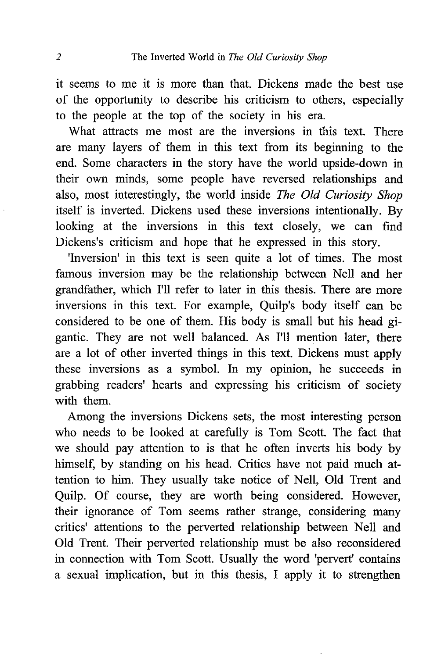it seems to me it is more than that. Dickens made the best use of the opportunity to describe his criticism to others, especially to the people at the top of the society in his era.

What attracts me most are the inversions in this text. There are many layers of them in this text from its beginning to the end. Some characters in the story have the world upside-down in their own minds, some people have reversed relationships and also, most interestingly, the world inside The Old Curiosity Shop itself is inverted. Dickens used these inversions intentionally. By looking at the inversions in this text closely, we can find Dickens's criticism and hope that he expressed in this story.

'Inversion' in this text is seen quite a lot of times . The most famous inversion may be the relationship between Nell and her grandfather, which I'll refer to later in this thesis. There are more inversions in this text. For example, Quilp's body itself can be considered to be one of them. His body is small but his head gigantic. They are not well balanced. As I'll mention later, there are a lot of other inverted things in this text. Dickens must apply these inversions as a symbol. In my opinion, he succeeds in grabbing readers' hearts and expressing his criticism of society with them.

Among the inversions Dickens sets, the most interesting person who needs to be looked at carefully is Tom Scott. The fact that we should pay attention to is that he often inverts his body by himself, by standing on his head. Critics have not paid much attention to him. They usually take notice of Nell, Old Trent and Qui1p. Of course, they are worth being considered. However, their ignorance of Tom seems rather strange, considering many critics' attentions to the perverted relationship between Nell and Old Trent. Their perverted relationship must be also reconsidered in connection with Tom Scott. Usually the word 'pervert' contains a sexual implication, but in this thesis, I apply it to strengthen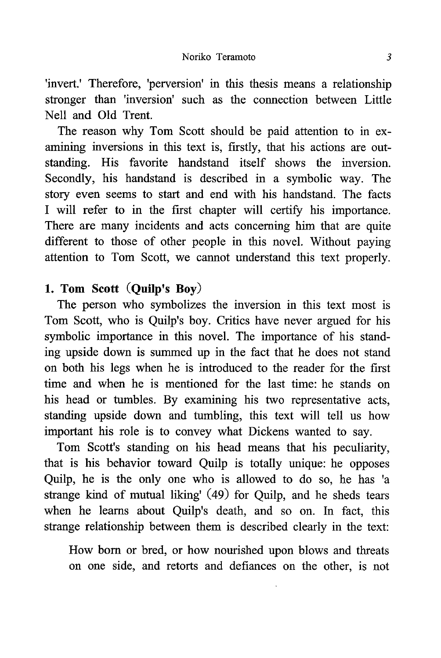'invert.' Therefore, 'perversion' in this thesis means a relationship stronger than 'inversion' such as the connection between Little Nell and Old Trent.

The reason why Tom Scott should be paid attention to in examining inversions in this text is, firstly, that his actions are outstanding. His favorite handstand itself shows the inversion. Secondly, his handstand is described in a symbolic way. The story even seems to start and end with his handstand. The facts I will refer to in the first chapter will certify his importance. There are many incidents and acts concerning him that are quite different to those of other people in this novel. Without paying attention to Tom Scott, we cannot understand this text properly.

## 1. Tom Scott (Quilp's Boy)

The person who symbolizes the inversion in this text most is Tom Scott, who is Quilp's boy. Critics have never argued for his symbolic importance in this novel. The importance of his standing upside down is summed up in the fact that he does not stand on both his legs when he is introduced to the reader for the first time and when he is mentioned for the last time: he stands on his head or tumbles. By examining his two representative acts, standing upside down and tumbling, this text will tell us how important his role is to convey what Dickens wanted to say.

Tom Scott's standing on his head means that his peculiarity, that is his behavior toward Qui1p is totally unique: he opposes Qui1p, he is the only one who is allowed to do so, he has 'a strange kind of mutual liking' (49) for Qui1p, and he sheds tears when he learns about Quilp's death, and so on. In fact, this strange relationship between them is described clearly in the text:

How born or bred, or how nourished upon blows and threats on one side, and retorts and defiances on the other, is not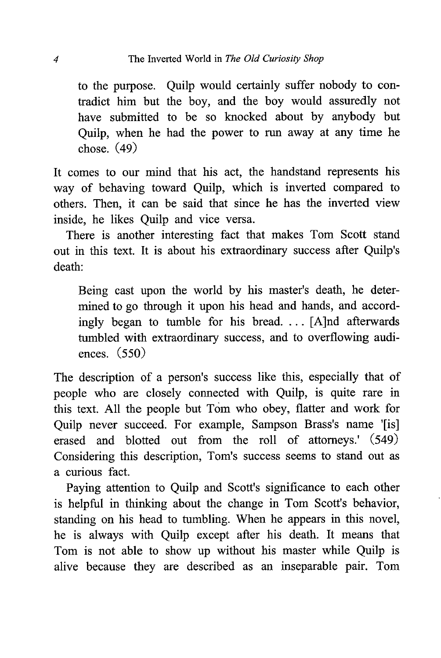to the purpose. Qui1p would certainly suffer nobody to contradict him but the boy, and the boy would assuredly not have submitted to be so knocked about by anybody but Qui1p, when he had the power to run away at any time he chose. (49)

It comes to our mind that his act, the handstand represents his way of behaving toward Ouilp, which is inverted compared to others. Then, it can be said that since he has the inverted view inside, he likes Quilp and vice versa.

There is another interesting fact that makes Tom Scott stand out in this text. It is about his extraordinary success after Quilp's death:

 Being cast upon the world by his master's death, he determined to go through it upon his head and hands, and accordingly began to tumble for his bread. . . . [A]nd afterwards tumbled with extraordinary success, and to overflowing audiences. (550)

The description of a person's success like this, especially that of people who are closely connected with Quilp, is quite rare in this text. All the people but Tom who obey, flatter and work for Quilp never succeed. For example, Sampson Brass's name '[is] erased and blotted out from the roll of attorneys.' (549) Considering this description, Tom's success seems to stand out as a curious fact.

Paying attention to Quilp and Scott's significance to each other is helpful in thinking about the change in Tom Scott's behavior, standing on his head to tumbling. When he appears in this novel, he is always with Quilp except after his death. It means that Tom is not able to show up without his master while Quilp is alive because they are described as an inseparable pair. Tom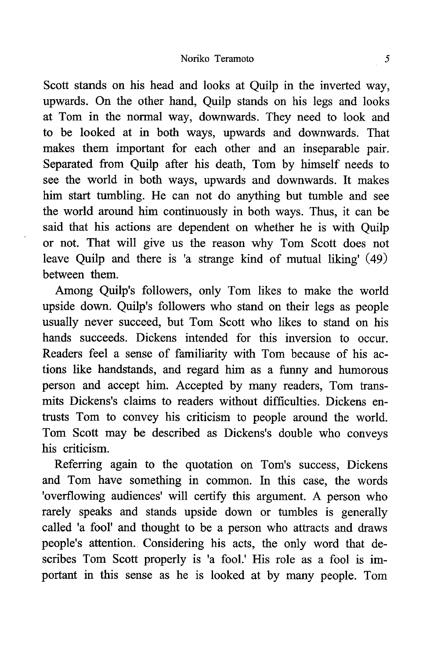#### Noriko Teramoto 5

Scott stands on his head and looks at Ouilp in the inverted way, upwards. On the other hand, Qui1p stands on his legs and looks at Tom in the normal way, downwards. They need to look and to be looked at in both ways, upwards and downwards. That makes them important for each other and an inseparable pair. Separated from Quilp after his death, Tom by himself needs to see the world in both ways, upwards and downwards. It makes him start tumbling. He can not do anything but tumble and see the world around him continuously in both ways. Thus, it can be said that his actions are dependent on whether he is with Quilp or not. That will give us the reason why Tom Scott does not leave Quilp and there is 'a strange kind of mutual liking' (49) between them.

Among Quilp's followers, only Tom likes to make the world upside down. Quilp's followers who stand on their legs as people usually never succeed, but Tom Scott who likes to stand on his hands succeeds. Dickens intended for this inversion to occur. Readers feel a sense of familiarity with Tom because of his actions like handstands, and regard him as a funny and humorous person and accept him. Accepted by many readers, Tom transmits Dickens's claims to readers without difficulties. Dickens entrusts Tom to convey his criticism to people around the world. Tom Scott may be described as Dickens's double who conveys his criticism.

Referring again to the quotation on Tom's success, Dickens and Tom have something in common. In this case, the words 'overflowing audiences' will certify this argument . A person who rarely speaks and stands upside down or tumbles is generally called 'a fool' and thought to be a person who attracts and draws people's attention. Considering his acts, the only word that describes Tom Scott properly is 'a fool.' His role as a fool is important in this sense as he is looked at by many people. Tom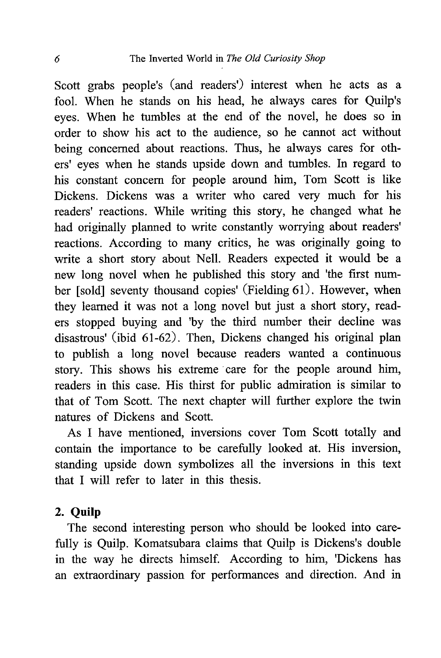Scott grabs people's (and readers') interest when he acts as a fool. When he stands on his head, he always cares for Quilp's eyes. When he tumbles at the end of the novel, he does so in order to show his act to the audience, so he cannot act without being concerned about reactions. Thus, he always cares for others' eyes when he stands upside down and tumbles. In regard to his constant concern for people around him, Tom Scott is like Dickens. Dickens was a writer who cared very much for his readers' reactions. While writing this story, he changed what he had originally planned to write constantly worrying about readers' reactions. According to many critics, he was originally going to write a short story about Nell. Readers expected it would be a new long novel when he published this story and 'the first number [sold] seventy thousand copies' (Fielding 61). However, when they learned it was not a long novel but just a short story, readers stopped buying and 'by the third number their decline was disastrous' (ibid 61-62). Then, Dickens changed his original plan to publish a long novel because readers wanted a continuous story. This shows his extreme care for the people around him, readers in this case. His thirst for public admiration is similar to that of Tom Scott. The next chapter will further explore the twin natures of Dickens and Scott.

As I have mentioned, inversions cover Tom Scott totally and contain the importance to be carefully looked at. His inversion, standing upside down symbolizes all the inversions in this text that I will refer to later in this thesis.

## 2. Qui1p

The second interesting person who should be looked into carefully is Quilp. Komatsubara claims that Quilp is Dickens's double in the way he directs himself. According to him, 'Dickens has an extraordinary passion for performances and direction. And in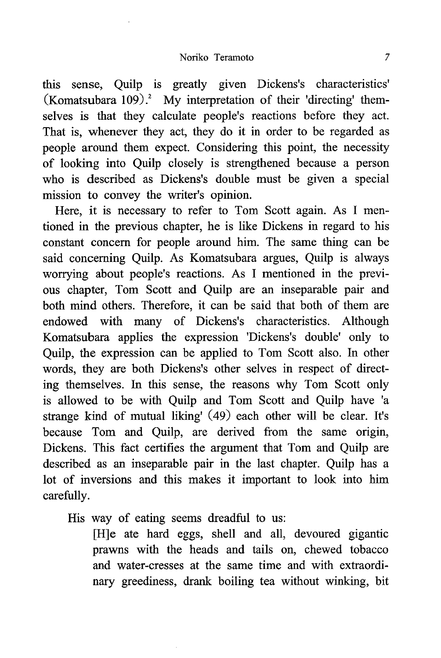this sense, Qui1p is greatly given Dickens's characteristics' (Komatsubara 109).<sup>2</sup> My interpretation of their 'directing' themselves is that they calculate people's reactions before they act. That is, whenever they act, they do it in order to be regarded as people around them expect. Considering this point, the necessity of looking into Qui1p closely is strengthened because a person who is described as Dickens's double must be given a special mission to convey the writer's opinion.

Here, it is necessary to refer to Tom Scott again. As I mentioned in the previous chapter, he is like Dickens in regard to his constant concern for people around him. The same thing can be said concerning Ouilp. As Komatsubara argues, Ouilp is always worrying about people's reactions. As I mentioned in the previous chapter, Tom Scott and Qui1p are an inseparable pair and both mind others. Therefore, it can be said that both of them are endowed with many of Dickens's characteristics. Although Komatsubara applies the expression 'Dickens's double' only to Qui1p, the expression can be applied to Tom Scott also. In other words, they are both Dickens's other selves in respect of directing themselves. In this sense, the reasons why Tom Scott only is allowed to be with Qui1p and Tom Scott and Qui1p have 'a strange kind of mutual liking' (49) each other will be clear. It's because Tom and Quilp, are derived from the same origin, Dickens. This fact certifies the argument that Tom and Qui1p are described as an inseparable pair in the last chapter. Quilp has a lot of inversions and this makes it important to look into him carefully.

His way of eating seems dreadful to us:

[H]e ate hard eggs, shell and all, devoured gigantic prawns with the heads and tails on, chewed tobacco and water-cresses at the same time and with extraordinary greediness, drank boiling tea without winking, bit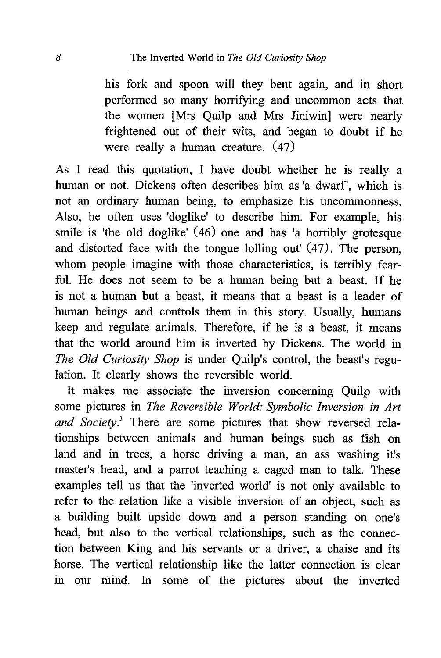his fork and spoon will they bent again, and in short performed so many horrifying and uncommon acts that the women [Mrs Qui1p and Mrs Jiniwin] were nearly frightened out of their wits, and began to doubt if he were really a human creature. (47)

As I read this quotation, I have doubt whether he is really a human or not. Dickens often describes him as 'a dwarf', which is not an ordinary human being, to emphasize his uncommonness. Also, he often uses 'doglike' to describe him. For example, his smile is 'the old doglike'  $(46)$  one and has 'a horribly grotesque and distorted face with the tongue lolling out' (47) . The person, whom people imagine with those characteristics, is terribly fearful. He does not seem to be a human being but a beast. If he is not a human but a beast, it means that a beast is a leader of human beings and controls them in this story. Usually, humans keep and regulate animals. Therefore, if he is a beast, it means that the world around him is inverted by Dickens. The world in The Old Curiosity Shop is under Quilp's control, the beast's regulation. It clearly shows the reversible world.

It makes me associate the inversion concerning Quilp with some pictures in The Reversible World: Symbolic Inversion in Art and Society.<sup>3</sup> There are some pictures that show reversed relationships between animals and human beings such as fish on land and in trees, a horse driving a man, an ass washing it's master's head, and a parrot teaching a caged man to talk. These examples tell us that the 'inverted world' is not only available to refer to the relation like a visible inversion of an object, such as a building built upside down and a person standing on one's head, but also to the vertical relationships, such as the connection between King and his servants or a driver, a chaise and its horse. The vertical relationship like the latter connection is clear in our mind. In some of the pictures about the inverted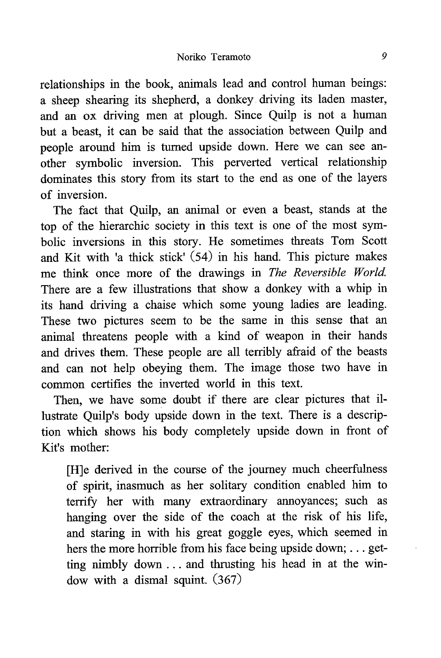relationships in the book, animals lead and control human beings: a sheep shearing its shepherd, a donkey driving its laden master, and an ox driving men at plough. Since Qui1p is not a human but a beast, it can be said that the association between Qui1p and people around him is turned upside down. Here we can see another symbolic inversion. This perverted vertical relationship dominates this story from its start to the end as one of the layers of inversion.

The fact that Quilp, an animal or even a beast, stands at the top of the hierarchic society in this text is one of the most symbolic inversions in this story. He sometimes threats Tom Scott and Kit with 'a thick stick' (54) in his hand. This picture makes me think once more of the drawings in The Reversible World. There are a few illustrations that show a donkey with a whip in its hand driving a chaise which some young ladies are leading. These two pictures seem to be the same in this sense that an animal threatens people with a kind of weapon in their hands and drives them. These people are all terribly afraid of the beasts and can not help obeying them. The image those two have in common certifies the inverted world in this text.

Then, we have some doubt if there are clear pictures that illustrate Quilp's body upside down in the text. There is a description which shows his body completely upside down in front of Kit's mother:

[H]e derived in the course of the journey much cheerfulness of spirit, inasmuch as her solitary condition enabled him to terrify her with many extraordinary annoyances; such as hanging over the side of the coach at the risk of his life, and staring in with his great goggle eyes, which seemed in hers the more horrible from his face being upside down; ... getting nimbly down .. . and thrusting his head in at the window with a dismal squint. (367)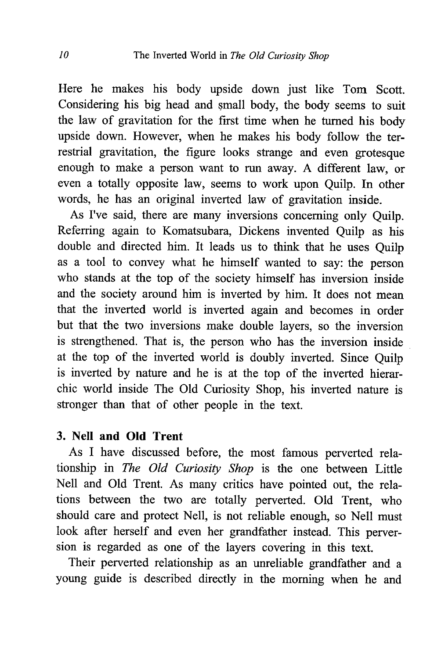Here he makes his body upside down just like Tom Scott. Considering his big head and small body, the body seems to suit the law of gravitation for the first time when he turned his body upside down. However, when he makes his body follow the terrestrial gravitation, the figure looks strange and even grotesque enough to make a person want to run away. A different law, or even a totally opposite law, seems to work upon Qui1p. In other words, he has an original inverted law of gravitation inside.

As I've said, there are many inversions concerning only Qui1p. Referring again to Komatsubara, Dickens invented Qui1p as his double and directed him. It leads us to think that he uses Qui1p as a tool to convey what he himself wanted to say: the person who stands at the top of the society himself has inversion inside and the society around him is inverted by him. It does not mean that the inverted world is inverted again and becomes in order but that the two inversions make double layers, so the inversion is strengthened. That is, the person who has the inversion inside at the top of the inverted world is doubly inverted. Since Qui1p is inverted by nature and he is at the top of the inverted hierarchic world inside The Old Curiosity Shop, his inverted nature is stronger than that of other people in the text.

## 3. Nell and Old Trent

As I have discussed before, the most famous perverted relationship in The Old Curiosity Shop is the one between Little Nell and Old Trent. As many critics have pointed out, the relations between the two are totally perverted. Old Trent, who should care and protect Nell, is not reliable enough, so Nell must look after herself and even her grandfather instead. This perversion is regarded as one of the layers covering in this text.

Their perverted relationship as an unreliable grandfather and a young guide is described directly in the morning when he and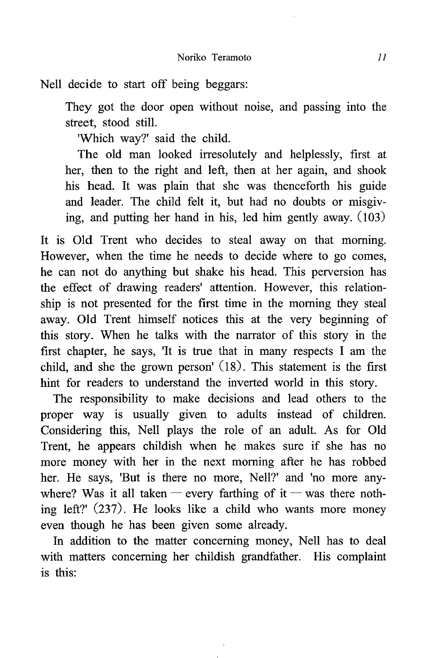Nell decide to start off being beggars:

They got the door open without noise, and passing into the street, stood still.

'Which way?' said the child.

The old man looked irresolutely and helplessly, first at her, then to the right and left, then at her again, and shook his head. It was plain that she was thenceforth his guide and leader. The child felt it, but had no doubts or misgiving, and putting her hand in his, led him gently away. (103)

It is Old Trent who decides to steal away on that morning. However, when the time he needs to decide where to go comes, he can not do anything but shake his head. This perversion has the effect of drawing readers' attention. However, this relationship is not presented for the first time in the morning they steal away. Old Trent himself notices this at the very beginning of this story. When he talks with the narrator of this story in the first chapter, he says, 'It is true that in many respects I am the child, and she the grown person' (18). This statement is the first hint for readers to understand the inverted world in this story.

The responsibility to make decisions and lead others to the proper way is usually given to adults instead of children. Considering this, Nell plays the role of an adult. As for Old Trent, he appears childish when he makes sure if she has no more money with her in the next morning after he has robbed her. He says, 'But is there no more, Nell?' and 'no more anywhere? Was it all taken — every farthing of it — was there nothing left?' (237). He looks like a child who wants more money even though he has been given some already.

In addition to the matter concerning money, Nell has to deal with matters concerning her childish grandfather. His complaint is this: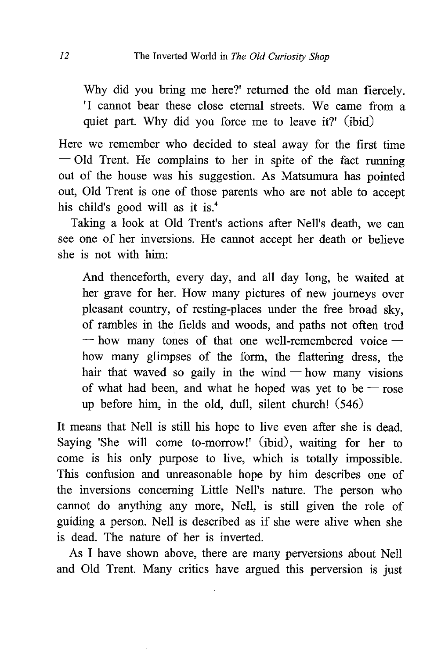Why did you bring me here?' returned the old man fiercely. 'I cannot bear these close eternal streets . We came from a quiet part. Why did you force me to leave it?' (ibid)

Here we remember who decided to steal away for the first time — Old Trent . He complains to her in spite of the fact running out of the house was his suggestion. As Matsumura has pointed out, Old Trent is one of those parents who are not able to accept his child's good will as it is.<sup>4</sup>

Taking a look at Old Trent's actions after Nell's death, we can see one of her inversions. He cannot accept her death or believe she is not with him:

And thenceforth, every day, and all day long, he waited at her grave for her. How many pictures of new journeys over pleasant country, of resting-places under the free broad sky, of rambles in the fields and woods, and paths not often trod  $-$  how many tones of that one well-remembered voice  $$ how many glimpses of the form, the flattering dress, the hair that waved so gaily in the wind — how many visions of what had been, and what he hoped was yet to be  $-$  rose up before him, in the old, dull, silent church! (546)

It means that Nell is still his hope to live even after she is dead. Saying 'She will come to-morrow!' (ibid), waiting for her to come is his only purpose to live, which is totally impossible. This confusion and unreasonable hope by him describes one of the inversions concerning Little Nell's nature. The person who cannot do anything any more, Nell, is still given the role of guiding a person. Nell is described as if she were alive when she is dead. The nature of her is inverted.

As I have shown above, there are many perversions about Nell and Old Trent. Many critics have argued this perversion is just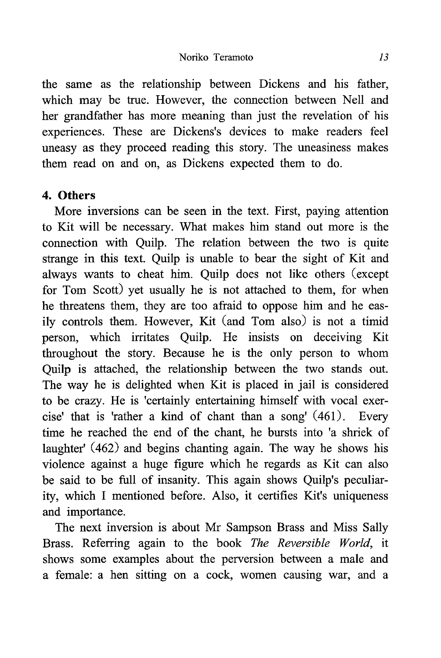#### Noriko Teramoto 13

the same as the relationship between Dickens and his father, which may be true. However, the connection between Nell and her grandfather has more meaning than just the revelation of his experiences. These are Dickens's devices to make readers feel uneasy as they proceed reading this story. The uneasiness makes them read on and on, as Dickens expected them to do.

## 4. Others

More inversions can be seen in the text. First, paying attention to Kit will be necessary. What makes him stand out more is the connection with Qui1p. The relation between the two is quite strange in this text. Quilp is unable to bear the sight of Kit and always wants to cheat him. Qui1p does not like others (except for Tom Scott) yet usually he is not attached to them, for when he threatens them, they are too afraid to oppose him and he easily controls them. However, Kit (and Tom also) is not a timid person, which irritates Qui1p. He insists on deceiving Kit throughout the story. Because he is the only person to whom Qui1p is attached, the relationship between the two stands out. The way he is delighted when Kit is placed in jail is considered to be crazy. He is 'certainly entertaining himself with vocal exercise' that is 'rather a kind of chant than a song' (461). Every time he reached the end of the chant, he bursts into 'a shriek of laughter' (462) and begins chanting again. The way he shows his violence against a huge figure which he regards as Kit can also be said to be full of insanity. This again shows Quilp's peculiarity, which I mentioned before. Also, it certifies Kit's uniqueness and importance.

The next inversion is about Mr Sampson Brass and Miss Sally Brass. Referring again to the book The Reversible World, it shows some examples about the perversion between a male and a female: a hen sitting on a cock, women causing war, and a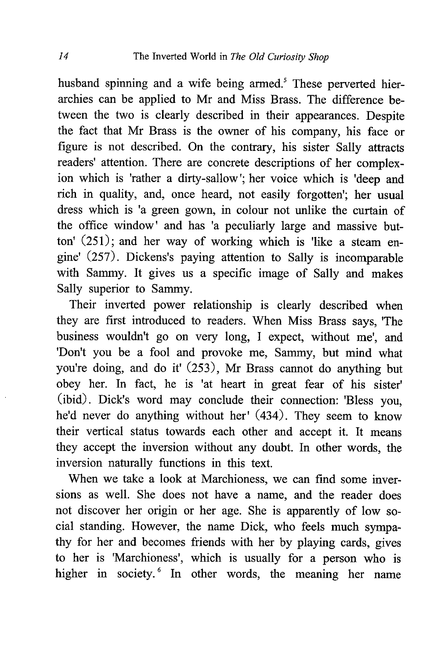husband spinning and a wife being armed.' These perverted hierarchies can be applied to Mr and Miss Brass. The difference between the two is clearly described in their appearances. Despite the fact that Mr Brass is the owner of his company, his face or figure is not described. On the contrary, his sister Sally attracts readers' attention. There are concrete descriptions of her complexion which is 'rather a dirty-sallow'; her voice which is 'deep and rich in quality, and, once heard, not easily forgotten'; her usual dress which is 'a green gown, in colour not unlike the curtain of the office window' and has 'a peculiarly large and massive button'  $(251)$ ; and her way of working which is 'like a steam engine' (257). Dickens's paying attention to Sally is incomparable with Sammy. It gives us a specific image of Sally and makes Sally superior to Sammy.

Their inverted power relationship is clearly described when they are first introduced to readers. When Miss Brass says, 'The business wouldn't go on very long, I expect, without me', and 'Don't you be a fool and provoke me , Sammy, but mind what you're doing, and do it' (253), Mr Brass cannot do anything but obey her. In fact, he is 'at heart in great fear of his sister' (ibid). Dick's word may conclude their connection: 'Bless you, he'd never do anything without her' (434). They seem to know their vertical status towards each other and accept it. It means they accept the inversion without any doubt. In other words, the inversion naturally functions in this text.

When we take a look at Marchioness, we can find some inversions as well. She does not have a name, and the reader does not discover her origin or her age. She is apparently of low social standing. However, the name Dick, who feels much sympathy for her and becomes friends with her by playing cards, gives to her is 'Marchioness', which is usually for a person who is higher in society.<sup>6</sup> In other words, the meaning her name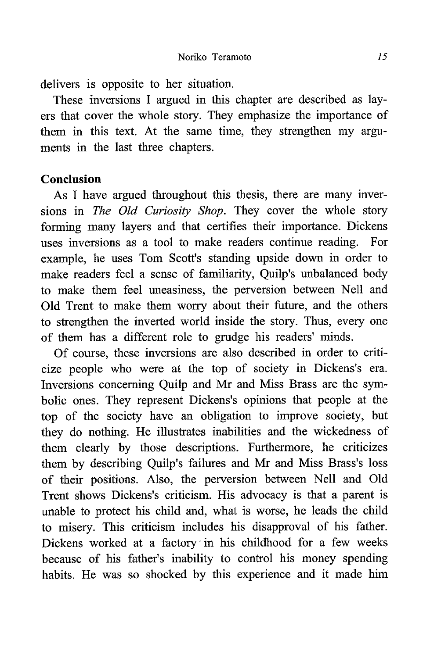delivers is opposite to her situation.

These inversions I argued in this chapter are described as layers that cover the whole story. They emphasize the importance of them in this text. At the same time, they strengthen my arguments in the last three chapters.

## Conclusion

As I have argued throughout this thesis, there are many inversions in The Old Curiosity Shop. They cover the whole story forming many layers and that certifies their importance. Dickens uses inversions as a tool to make readers continue reading. For example, he uses Tom Scott's standing upside down in order to make readers feel a sense of familiarity, Quilp's unbalanced body to make them feel uneasiness, the perversion between Nell and Old Trent to make them worry about their future, and the others to strengthen the inverted world inside the story. Thus, every one of them has a different role to grudge his readers' minds.

Of course, these inversions are also described in order to criticize people who were at the top of society in Dickens's era. Inversions concerning Qui1p and Mr and Miss Brass are the symbolic ones. They represent Dickens's opinions that people at the top of the society have an obligation to improve society, but they do nothing. He illustrates inabilities and the wickedness of them clearly by those descriptions. Furthermore, he criticizes them by describing Quilp's failures and Mr and Miss Brass's loss of their positions. Also, the perversion between Nell and Old Trent shows Dickens's criticism. His advocacy is that a parent is unable to protect his child and, what is worse, he leads the child to misery. This criticism includes his disapproval of his father. Dickens worked at a factory in his childhood for a few weeks because of his father's inability to control his money spending habits. He was so shocked by this experience and it made him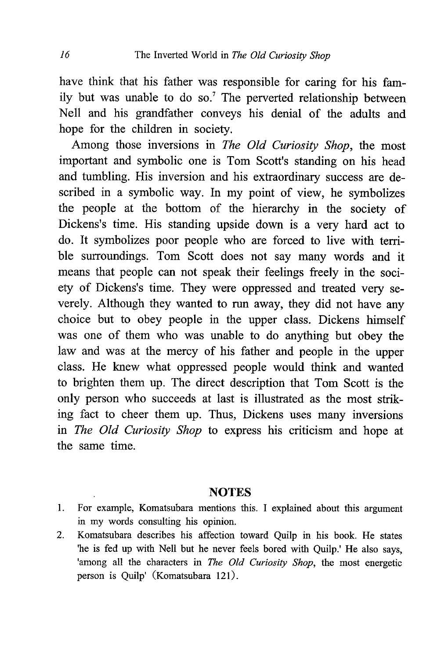have think that his father was responsible for caring for his family but was unable to do so.' The perverted relationship between Nell and his grandfather conveys his denial of the adults and hope for the children in society.

Among those inversions in The Old Curiosity Shop, the most important and symbolic one is Tom Scott's standing on his head and tumbling. His inversion and his extraordinary success are described in a symbolic way. In my point of view, he symbolizes the people at the bottom of the hierarchy in the society of Dickens's time. His standing upside down is a very hard act to do. It symbolizes poor people who are forced to live with terrible surroundings. Tom Scott does not say many words and it means that people can not speak their feelings freely in the society of Dickens's time. They were oppressed and treated very severely. Although they wanted to run away, they did not have any choice but to obey people in the upper class. Dickens himself was one of them who was unable to do anything but obey the law and was at the mercy of his father and people in the upper class. He knew what oppressed people would think and wanted to brighten them up. The direct description that Tom Scott is the only person who succeeds at last is illustrated as the most striking fact to cheer them up. Thus, Dickens uses many inversions in The Old Curiosity Shop to express his criticism and hope at the same time.

#### NOTES

- 1. For example, Komatsubara mentions this. I explained about this argument in my words consulting his opinion.
- 2. Komatsubara describes his affection toward Qui1p in his book. He states 'he is fed up with Nell but he never feels bored with Quilp.' He also says, 'among all the characters in The Old Curiosity Shop, the most energetic person is Quilp' (Komatsubara 121).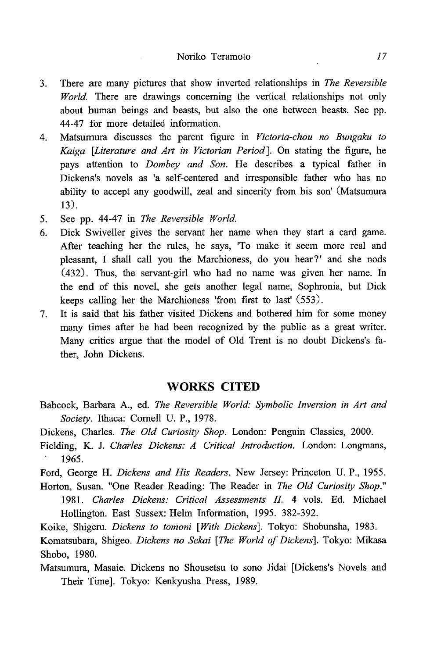#### Noriko Teramoto 17

- 3. There are many pictures that show inverted relationships in The Reversible World. There are drawings concerning the vertical relationships not only about human beings and beasts, but also the one between beasts. See pp. 44-47 for more detailed information.
- 4. Matsumura discusses the parent figure in Victoria-chou no Bungaku to Kaiga [Literature and Art in Victorian Period]. On stating the figure, he pays attention to Dombey and Son. He describes a typical father in Dickens's novels as 'a self-centered and irresponsible father who has no ability to accept any goodwill, zeal and sincerity from his son' (Matsumura 13).
- 5. See pp. 44-47 in The Reversible World.
- 6. Dick Swiveller gives the servant her name when they start a card game. After teaching her the rules, he says, 'To make it seem more real and pleasant, I shall call you the Marchioness, do you hear?' and she nods (432). Thus, the servant-girl who had no name was given her name. In the end of this novel, she gets another legal name, Sophronia, but Dick keeps calling her the Marchioness 'from first to last' (553).
- 7. It is said that his father visited Dickens and bothered him for some money many times after he had been recognized by the public as a great writer. Many critics argue that the model of Old Trent is no doubt Dickens's father, John Dickens.

#### WORKS CITED

- Babcock, Barbara A., ed. The Reversible World: Symbolic Inversion in Art and Society. Ithaca: Cornell U. P., 1978.
- Dickens, Charles. The Old Curiosity Shop. London: Penguin Classics, 2000.
- Fielding, K. J. Charles Dickens: A Critical Introduction. London: Longmans, 1965.

Ford, George H. Dickens and His Readers. New Jersey: Princeton U. P., 1955.

Horton, Susan. "One Reader Reading: The Reader in The Old Curiosity Shop." 1981. Charles Dickens: Critical Assessments II. 4 vols. Ed. Michael Hollington. East Sussex: Helm Information, 1995. 382-392.

Koike, Shigeru. Dickens to tomoni [With Dickens]. Tokyo: Shobunsha, 1983.

Komatsubara, Shigeo. Dickens no Sekai [The World of Dickens]. Tokyo: Mikasa Shobo, 1980.

Matsumura, Masaie. Dickens no Shousetsu to sono Jidai [Dickens's Novels and Their Time]. Tokyo: Kenkyusha Press, 1989.